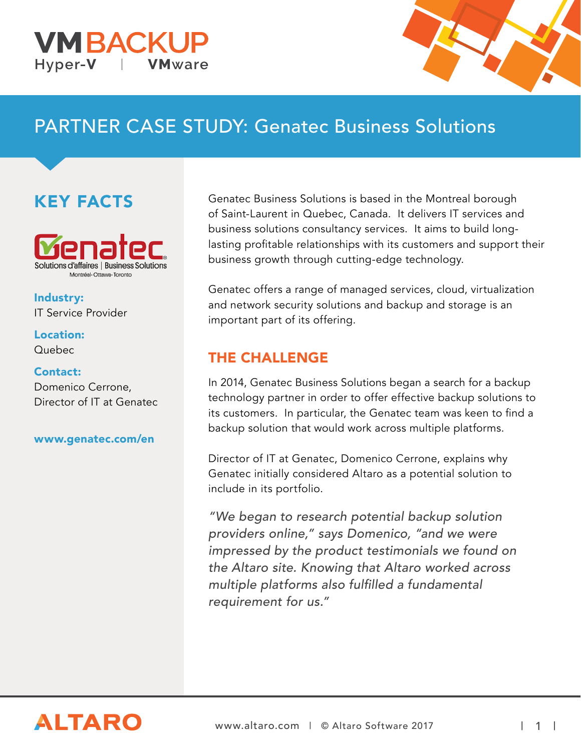



# PARTNER CASE STUDY: Genatec Business Solutions

## KEY FACTS



Industry: IT Service Provider

#### Location: Quebec

### Contact:

Domenico Cerrone, Director of IT at Genatec

#### [www.genatec.com/en](https://www.genatec.com/en/)

Genatec Business Solutions is based in the Montreal borough of Saint-Laurent in Quebec, Canada. It delivers IT services and business solutions consultancy services. It aims to build longlasting profitable relationships with its customers and support their business growth through cutting-edge technology.

Genatec offers a range of managed services, cloud, virtualization and network security solutions and backup and storage is an important part of its offering.

### THE CHALLENGE

In 2014, Genatec Business Solutions began a search for a backup technology partner in order to offer effective backup solutions to its customers. In particular, the Genatec team was keen to find a backup solution that would work across multiple platforms.

Director of IT at Genatec, Domenico Cerrone, explains why Genatec initially considered Altaro as a potential solution to include in its portfolio.

"We began to research potential backup solution providers online," says Domenico, "and we were impressed by the product testimonials we found on the Altaro site. Knowing that Altaro worked across multiple platforms also fulfilled a fundamental requirement for us."